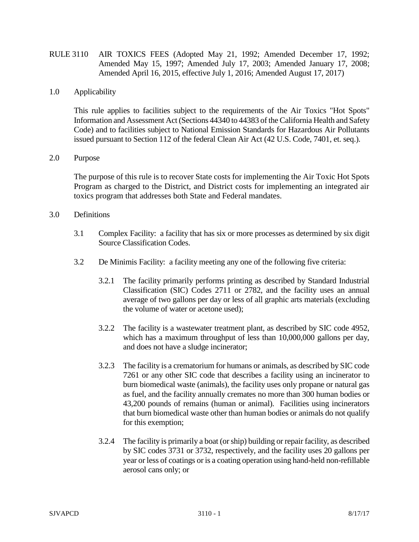RULE 3110 AIR TOXICS FEES (Adopted May 21, 1992; Amended December 17, 1992; Amended May 15, 1997; Amended July 17, 2003; Amended January 17, 2008; Amended April 16, 2015, effective July 1, 2016; Amended August 17, 2017)

## 1.0 Applicability

This rule applies to facilities subject to the requirements of the Air Toxics "Hot Spots" Information and Assessment Act (Sections 44340 to 44383 of the California Health and Safety Code) and to facilities subject to National Emission Standards for Hazardous Air Pollutants issued pursuant to Section 112 of the federal Clean Air Act (42 U.S. Code, 7401, et. seq.).

## 2.0 Purpose

The purpose of this rule is to recover State costs for implementing the Air Toxic Hot Spots Program as charged to the District, and District costs for implementing an integrated air toxics program that addresses both State and Federal mandates.

## 3.0 Definitions

- 3.1 Complex Facility: a facility that has six or more processes as determined by six digit Source Classification Codes.
- 3.2 De Minimis Facility: a facility meeting any one of the following five criteria:
	- 3.2.1 The facility primarily performs printing as described by Standard Industrial Classification (SIC) Codes 2711 or 2782, and the facility uses an annual average of two gallons per day or less of all graphic arts materials (excluding the volume of water or acetone used);
	- 3.2.2 The facility is a wastewater treatment plant, as described by SIC code 4952, which has a maximum throughput of less than 10,000,000 gallons per day, and does not have a sludge incinerator;
	- 3.2.3 The facility is a crematorium for humans or animals, as described by SIC code 7261 or any other SIC code that describes a facility using an incinerator to burn biomedical waste (animals), the facility uses only propane or natural gas as fuel, and the facility annually cremates no more than 300 human bodies or 43,200 pounds of remains (human or animal). Facilities using incinerators that burn biomedical waste other than human bodies or animals do not qualify for this exemption;
	- 3.2.4 The facility is primarily a boat (or ship) building or repair facility, as described by SIC codes 3731 or 3732, respectively, and the facility uses 20 gallons per year or less of coatings or is a coating operation using hand-held non-refillable aerosol cans only; or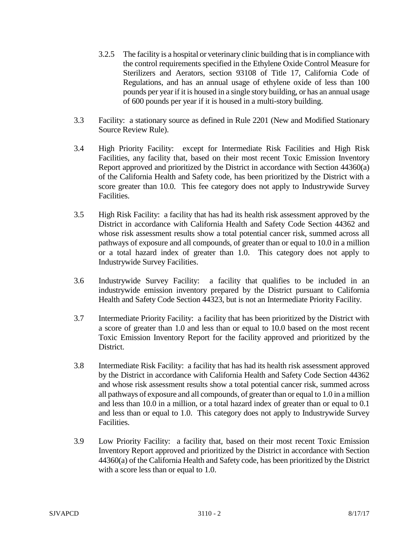- 3.2.5 The facility is a hospital or veterinary clinic building that is in compliance with the control requirements specified in the Ethylene Oxide Control Measure for Sterilizers and Aerators, section 93108 of Title 17, California Code of Regulations, and has an annual usage of ethylene oxide of less than 100 pounds per year if it is housed in a single story building, or has an annual usage of 600 pounds per year if it is housed in a multi-story building.
- 3.3 Facility: a stationary source as defined in Rule 2201 (New and Modified Stationary Source Review Rule).
- 3.4 High Priority Facility: except for Intermediate Risk Facilities and High Risk Facilities, any facility that, based on their most recent Toxic Emission Inventory Report approved and prioritized by the District in accordance with Section 44360(a) of the California Health and Safety code, has been prioritized by the District with a score greater than 10.0. This fee category does not apply to Industrywide Survey Facilities.
- 3.5 High Risk Facility: a facility that has had its health risk assessment approved by the District in accordance with California Health and Safety Code Section 44362 and whose risk assessment results show a total potential cancer risk, summed across all pathways of exposure and all compounds, of greater than or equal to 10.0 in a million or a total hazard index of greater than 1.0. This category does not apply to Industrywide Survey Facilities.
- 3.6 Industrywide Survey Facility: a facility that qualifies to be included in an industrywide emission inventory prepared by the District pursuant to California Health and Safety Code Section 44323, but is not an Intermediate Priority Facility.
- 3.7 Intermediate Priority Facility: a facility that has been prioritized by the District with a score of greater than 1.0 and less than or equal to 10.0 based on the most recent Toxic Emission Inventory Report for the facility approved and prioritized by the District.
- 3.8 Intermediate Risk Facility: a facility that has had its health risk assessment approved by the District in accordance with California Health and Safety Code Section 44362 and whose risk assessment results show a total potential cancer risk, summed across all pathways of exposure and all compounds, of greater than or equal to 1.0 in a million and less than 10.0 in a million, or a total hazard index of greater than or equal to 0.1 and less than or equal to 1.0. This category does not apply to Industrywide Survey Facilities.
- 3.9 Low Priority Facility: a facility that, based on their most recent Toxic Emission Inventory Report approved and prioritized by the District in accordance with Section 44360(a) of the California Health and Safety code, has been prioritized by the District with a score less than or equal to 1.0.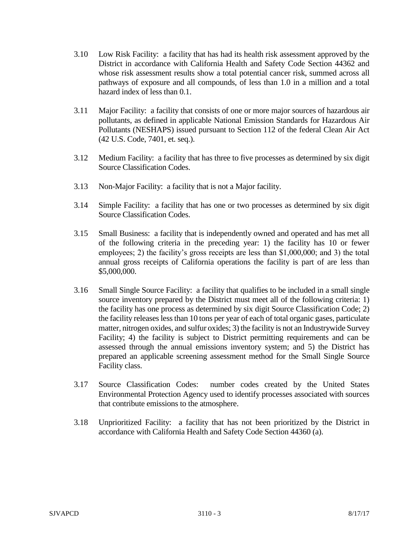- 3.10 Low Risk Facility: a facility that has had its health risk assessment approved by the District in accordance with California Health and Safety Code Section 44362 and whose risk assessment results show a total potential cancer risk, summed across all pathways of exposure and all compounds, of less than 1.0 in a million and a total hazard index of less than 0.1.
- 3.11 Major Facility: a facility that consists of one or more major sources of hazardous air pollutants, as defined in applicable National Emission Standards for Hazardous Air Pollutants (NESHAPS) issued pursuant to Section 112 of the federal Clean Air Act (42 U.S. Code, 7401, et. seq.).
- 3.12 Medium Facility: a facility that has three to five processes as determined by six digit Source Classification Codes.
- 3.13 Non-Major Facility: a facility that is not a Major facility.
- 3.14 Simple Facility: a facility that has one or two processes as determined by six digit Source Classification Codes.
- 3.15 Small Business: a facility that is independently owned and operated and has met all of the following criteria in the preceding year: 1) the facility has 10 or fewer employees; 2) the facility's gross receipts are less than \$1,000,000; and 3) the total annual gross receipts of California operations the facility is part of are less than \$5,000,000.
- 3.16 Small Single Source Facility: a facility that qualifies to be included in a small single source inventory prepared by the District must meet all of the following criteria: 1) the facility has one process as determined by six digit Source Classification Code; 2) the facility releases less than 10 tons per year of each of total organic gases, particulate matter, nitrogen oxides, and sulfur oxides; 3) the facility is not an Industrywide Survey Facility; 4) the facility is subject to District permitting requirements and can be assessed through the annual emissions inventory system; and 5) the District has prepared an applicable screening assessment method for the Small Single Source Facility class.
- 3.17 Source Classification Codes: number codes created by the United States Environmental Protection Agency used to identify processes associated with sources that contribute emissions to the atmosphere.
- 3.18 Unprioritized Facility: a facility that has not been prioritized by the District in accordance with California Health and Safety Code Section 44360 (a).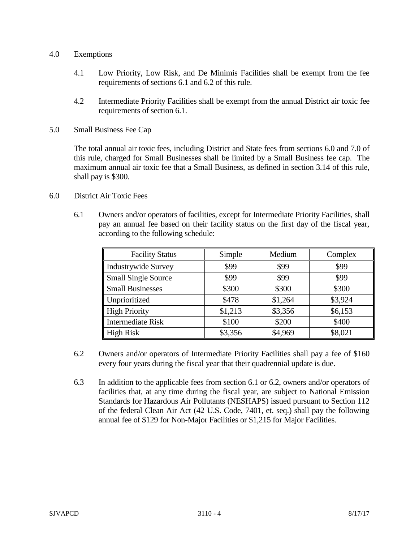## 4.0 Exemptions

- 4.1 Low Priority, Low Risk, and De Minimis Facilities shall be exempt from the fee requirements of sections 6.1 and 6.2 of this rule.
- 4.2 Intermediate Priority Facilities shall be exempt from the annual District air toxic fee requirements of section 6.1.
- 5.0 Small Business Fee Cap

The total annual air toxic fees, including District and State fees from sections 6.0 and 7.0 of this rule, charged for Small Businesses shall be limited by a Small Business fee cap. The maximum annual air toxic fee that a Small Business, as defined in section 3.14 of this rule, shall pay is \$300.

- 6.0 District Air Toxic Fees
	- 6.1 Owners and/or operators of facilities, except for Intermediate Priority Facilities, shall pay an annual fee based on their facility status on the first day of the fiscal year, according to the following schedule:

| <b>Facility Status</b>     | Simple  | Medium  | Complex |
|----------------------------|---------|---------|---------|
| <b>Industrywide Survey</b> | \$99    | \$99    | \$99    |
| <b>Small Single Source</b> | \$99    | \$99    | \$99    |
| <b>Small Businesses</b>    | \$300   | \$300   | \$300   |
| Unprioritized              | \$478   | \$1,264 | \$3,924 |
| <b>High Priority</b>       | \$1,213 | \$3,356 | \$6,153 |
| Intermediate Risk          | \$100   | \$200   | \$400   |
| <b>High Risk</b>           | \$3,356 | \$4,969 | \$8,021 |

- 6.2 Owners and/or operators of Intermediate Priority Facilities shall pay a fee of \$160 every four years during the fiscal year that their quadrennial update is due.
- 6.3 In addition to the applicable fees from section 6.1 or 6.2, owners and/or operators of facilities that, at any time during the fiscal year, are subject to National Emission Standards for Hazardous Air Pollutants (NESHAPS) issued pursuant to Section 112 of the federal Clean Air Act (42 U.S. Code, 7401, et. seq.) shall pay the following annual fee of \$129 for Non-Major Facilities or \$1,215 for Major Facilities.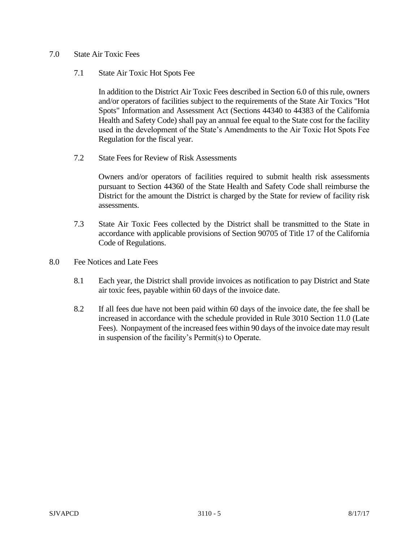- 7.0 State Air Toxic Fees
	- 7.1 State Air Toxic Hot Spots Fee

In addition to the District Air Toxic Fees described in Section 6.0 of this rule, owners and/or operators of facilities subject to the requirements of the State Air Toxics "Hot Spots" Information and Assessment Act (Sections 44340 to 44383 of the California Health and Safety Code) shall pay an annual fee equal to the State cost for the facility used in the development of the State's Amendments to the Air Toxic Hot Spots Fee Regulation for the fiscal year.

7.2 State Fees for Review of Risk Assessments

Owners and/or operators of facilities required to submit health risk assessments pursuant to Section 44360 of the State Health and Safety Code shall reimburse the District for the amount the District is charged by the State for review of facility risk assessments.

- 7.3 State Air Toxic Fees collected by the District shall be transmitted to the State in accordance with applicable provisions of Section 90705 of Title 17 of the California Code of Regulations.
- 8.0 Fee Notices and Late Fees
	- 8.1 Each year, the District shall provide invoices as notification to pay District and State air toxic fees, payable within 60 days of the invoice date.
	- 8.2 If all fees due have not been paid within 60 days of the invoice date, the fee shall be increased in accordance with the schedule provided in Rule 3010 Section 11.0 (Late Fees). Nonpayment of the increased fees within 90 days of the invoice date may result in suspension of the facility's Permit(s) to Operate.